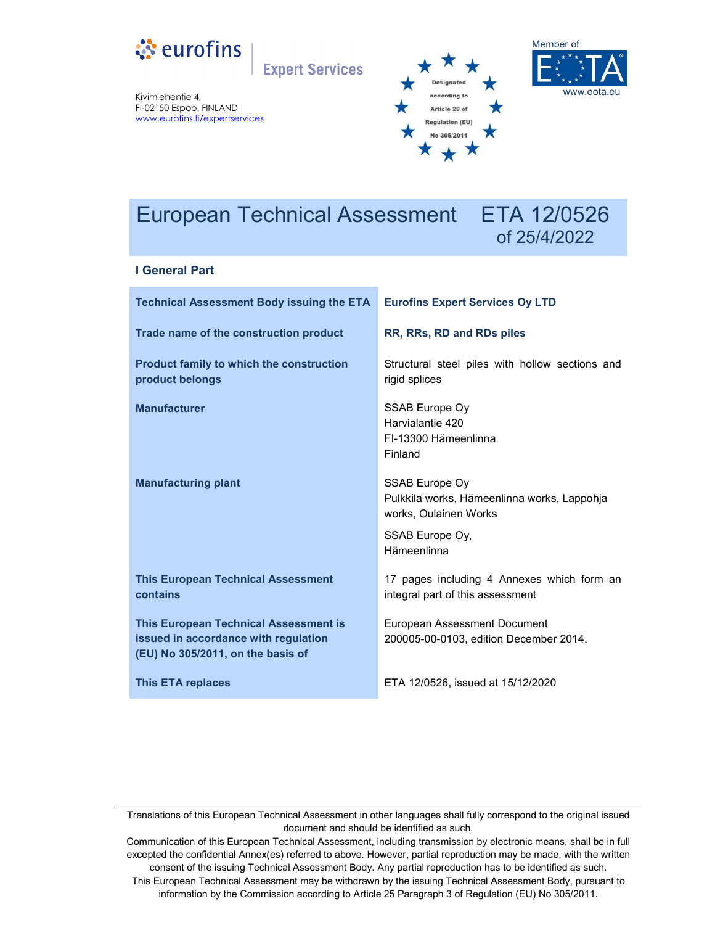

**Expert Services** 

Kivimiehentie 4, FI-02150 Espoo, FINLAND www.eurofins.fi/expertservices





# European Technical Assessment ETA 12/0526

# of 25/4/2022

# **I General Part**

| <b>Technical Assessment Body issuing the ETA</b>                                                                          | <b>Eurofins Expert Services Oy LTD</b>                                                 |
|---------------------------------------------------------------------------------------------------------------------------|----------------------------------------------------------------------------------------|
| Trade name of the construction product                                                                                    | RR, RRs, RD and RDs piles                                                              |
| <b>Product family to which the construction</b><br>product belongs                                                        | Structural steel piles with hollow sections and<br>rigid splices                       |
| <b>Manufacturer</b>                                                                                                       | SSAB Europe Oy<br>Harvialantie 420<br>FI-13300 Hämeenlinna<br>Finland                  |
| <b>Manufacturing plant</b>                                                                                                | SSAB Europe Oy<br>Pulkkila works, Hämeenlinna works, Lappohja<br>works, Oulainen Works |
|                                                                                                                           | SSAB Europe Oy,<br>Hämeenlinna                                                         |
| <b>This European Technical Assessment</b><br>contains                                                                     | 17 pages including 4 Annexes which form an<br>integral part of this assessment         |
| <b>This European Technical Assessment is</b><br>issued in accordance with regulation<br>(EU) No 305/2011, on the basis of | <b>European Assessment Document</b><br>200005-00-0103, edition December 2014.          |
| <b>This ETA replaces</b>                                                                                                  | ETA 12/0526, issued at 15/12/2020                                                      |

Translations of this European Technical Assessment in other languages shall fully correspond to the original issued document and should be identified as such.

Communication of this European Technical Assessment, including transmission by electronic means, shall be in full excepted the confidential Annex(es) referred to above. However, partial reproduction may be made, with the written consent of the issuing Technical Assessment Body. Any partial reproduction has to be identified as such. This European Technical Assessment may be withdrawn by the issuing Technical Assessment Body, pursuant to information by the Commission according to Article 25 Paragraph 3 of Regulation (EU) No 305/2011.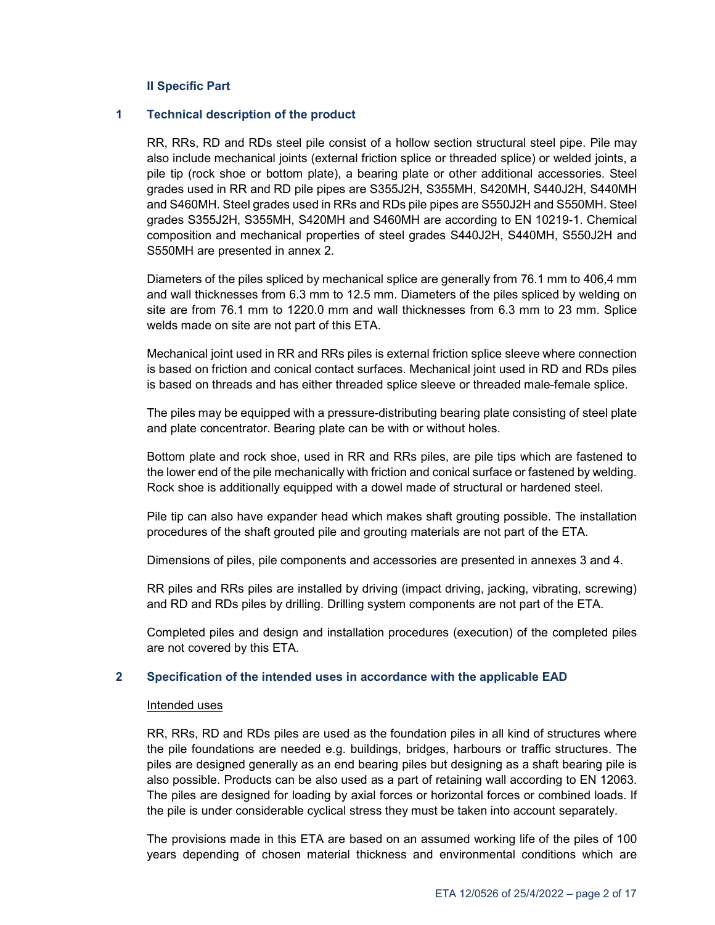# **II Specific Part**

# **1 Technical description of the product**

RR, RRs, RD and RDs steel pile consist of a hollow section structural steel pipe. Pile may also include mechanical joints (external friction splice or threaded splice) or welded joints, a pile tip (rock shoe or bottom plate), a bearing plate or other additional accessories. Steel grades used in RR and RD pile pipes are S355J2H, S355MH, S420MH, S440J2H, S440MH and S460MH. Steel grades used in RRs and RDs pile pipes are S550J2H and S550MH. Steel grades S355J2H, S355MH, S420MH and S460MH are according to EN 10219-1. Chemical composition and mechanical properties of steel grades S440J2H, S440MH, S550J2H and S550MH are presented in annex 2.

Diameters of the piles spliced by mechanical splice are generally from 76.1 mm to 406,4 mm and wall thicknesses from 6.3 mm to 12.5 mm. Diameters of the piles spliced by welding on site are from 76.1 mm to 1220.0 mm and wall thicknesses from 6.3 mm to 23 mm. Splice welds made on site are not part of this ETA.

Mechanical joint used in RR and RRs piles is external friction splice sleeve where connection is based on friction and conical contact surfaces. Mechanical joint used in RD and RDs piles is based on threads and has either threaded splice sleeve or threaded male-female splice.

The piles may be equipped with a pressure-distributing bearing plate consisting of steel plate and plate concentrator. Bearing plate can be with or without holes.

Bottom plate and rock shoe, used in RR and RRs piles, are pile tips which are fastened to the lower end of the pile mechanically with friction and conical surface or fastened by welding. Rock shoe is additionally equipped with a dowel made of structural or hardened steel.

Pile tip can also have expander head which makes shaft grouting possible. The installation procedures of the shaft grouted pile and grouting materials are not part of the ETA.

Dimensions of piles, pile components and accessories are presented in annexes 3 and 4.

RR piles and RRs piles are installed by driving (impact driving, jacking, vibrating, screwing) and RD and RDs piles by drilling. Drilling system components are not part of the ETA.

Completed piles and design and installation procedures (execution) of the completed piles are not covered by this ETA.

#### **2 Specification of the intended uses in accordance with the applicable EAD**

#### Intended uses

RR, RRs, RD and RDs piles are used as the foundation piles in all kind of structures where the pile foundations are needed e.g. buildings, bridges, harbours or traffic structures. The piles are designed generally as an end bearing piles but designing as a shaft bearing pile is also possible. Products can be also used as a part of retaining wall according to EN 12063. The piles are designed for loading by axial forces or horizontal forces or combined loads. If the pile is under considerable cyclical stress they must be taken into account separately.

The provisions made in this ETA are based on an assumed working life of the piles of 100 years depending of chosen material thickness and environmental conditions which are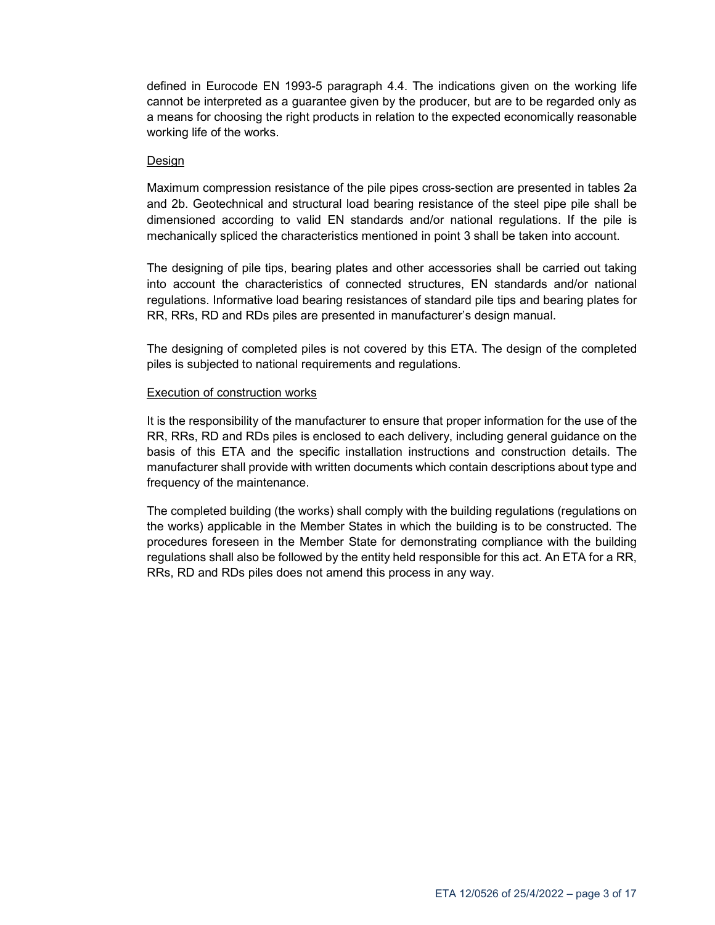defined in Eurocode EN 1993-5 paragraph 4.4. The indications given on the working life cannot be interpreted as a guarantee given by the producer, but are to be regarded only as a means for choosing the right products in relation to the expected economically reasonable working life of the works.

# Design

Maximum compression resistance of the pile pipes cross-section are presented in tables 2a and 2b. Geotechnical and structural load bearing resistance of the steel pipe pile shall be dimensioned according to valid EN standards and/or national regulations. If the pile is mechanically spliced the characteristics mentioned in point 3 shall be taken into account.

The designing of pile tips, bearing plates and other accessories shall be carried out taking into account the characteristics of connected structures, EN standards and/or national regulations. Informative load bearing resistances of standard pile tips and bearing plates for RR, RRs, RD and RDs piles are presented in manufacturer's design manual.

The designing of completed piles is not covered by this ETA. The design of the completed piles is subjected to national requirements and regulations.

# Execution of construction works

It is the responsibility of the manufacturer to ensure that proper information for the use of the RR, RRs, RD and RDs piles is enclosed to each delivery, including general guidance on the basis of this ETA and the specific installation instructions and construction details. The manufacturer shall provide with written documents which contain descriptions about type and frequency of the maintenance.

The completed building (the works) shall comply with the building regulations (regulations on the works) applicable in the Member States in which the building is to be constructed. The procedures foreseen in the Member State for demonstrating compliance with the building regulations shall also be followed by the entity held responsible for this act. An ETA for a RR, RRs, RD and RDs piles does not amend this process in any way.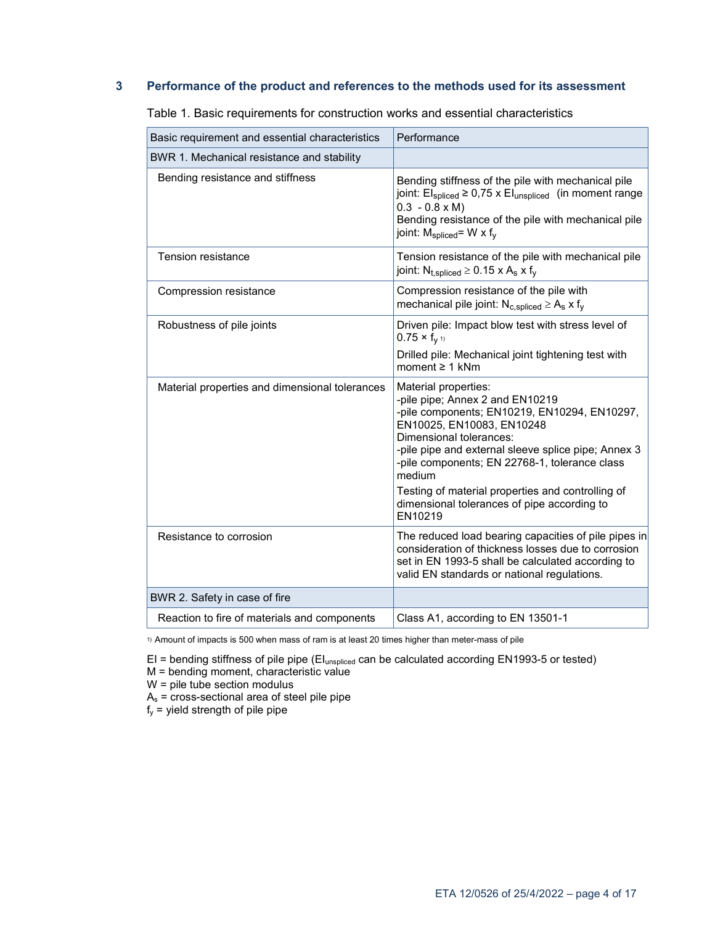# **3 Performance of the product and references to the methods used for its assessment**

| Basic requirement and essential characteristics | Performance                                                                                                                                                                                                                                                                       |
|-------------------------------------------------|-----------------------------------------------------------------------------------------------------------------------------------------------------------------------------------------------------------------------------------------------------------------------------------|
| BWR 1. Mechanical resistance and stability      |                                                                                                                                                                                                                                                                                   |
| Bending resistance and stiffness                | Bending stiffness of the pile with mechanical pile<br>joint: $Elspliced \ge 0.75 \times Elunspliced$ (in moment range<br>$0.3 - 0.8 \times M$ )<br>Bending resistance of the pile with mechanical pile<br>joint: $M_{\text{spliced}} = W \times f_V$                              |
| <b>Tension resistance</b>                       | Tension resistance of the pile with mechanical pile<br>joint: $N_{t,spliced} \ge 0.15 \times A_s \times f_v$                                                                                                                                                                      |
| Compression resistance                          | Compression resistance of the pile with<br>mechanical pile joint: $N_{c,spliced} \ge A_s \times f_v$                                                                                                                                                                              |
| Robustness of pile joints                       | Driven pile: Impact blow test with stress level of<br>$0.75 \times f_{V}$ <sup>1)</sup>                                                                                                                                                                                           |
|                                                 | Drilled pile: Mechanical joint tightening test with<br>moment $\geq 1$ kNm                                                                                                                                                                                                        |
| Material properties and dimensional tolerances  | Material properties:<br>-pile pipe; Annex 2 and EN10219<br>-pile components; EN10219, EN10294, EN10297,<br>EN10025, EN10083, EN10248<br>Dimensional tolerances:<br>-pile pipe and external sleeve splice pipe; Annex 3<br>-pile components; EN 22768-1, tolerance class<br>medium |
|                                                 | Testing of material properties and controlling of<br>dimensional tolerances of pipe according to<br>EN10219                                                                                                                                                                       |
| Resistance to corrosion                         | The reduced load bearing capacities of pile pipes in<br>consideration of thickness losses due to corrosion<br>set in EN 1993-5 shall be calculated according to<br>valid EN standards or national regulations.                                                                    |
| BWR 2. Safety in case of fire                   |                                                                                                                                                                                                                                                                                   |
| Reaction to fire of materials and components    | Class A1, according to EN 13501-1                                                                                                                                                                                                                                                 |

Table 1. Basic requirements for construction works and essential characteristics

1) Amount of impacts is 500 when mass of ram is at least 20 times higher than meter-mass of pile

EI = bending stiffness of pile pipe (EIunspliced can be calculated according EN1993-5 or tested)

M = bending moment, characteristic value

W = pile tube section modulus

 $A_s$  = cross-sectional area of steel pile pipe

 $f_y$  = yield strength of pile pipe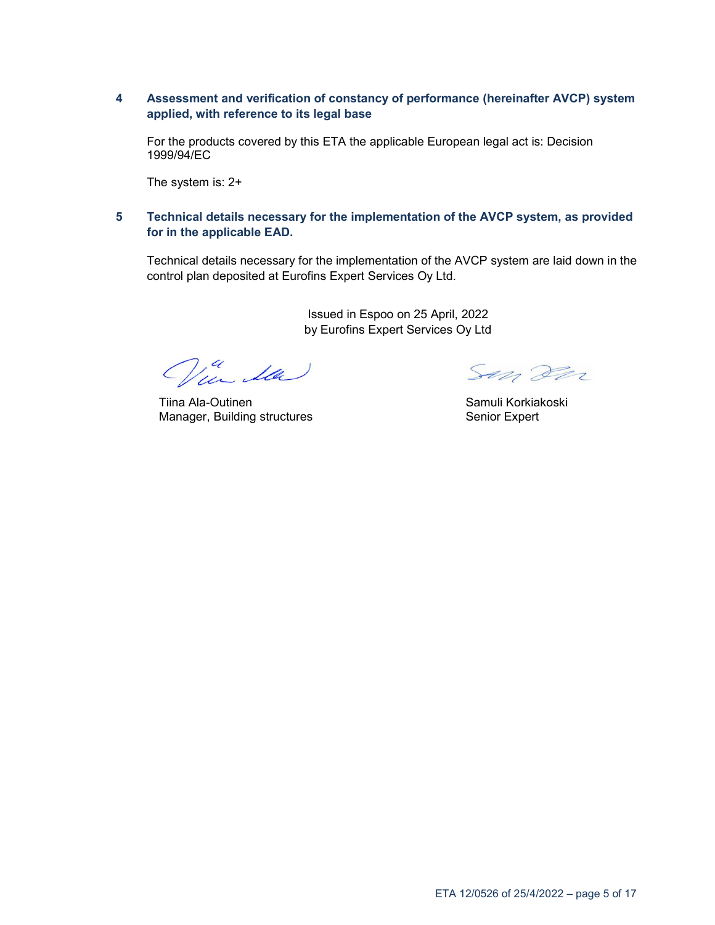# **4 Assessment and verification of constancy of performance (hereinafter AVCP) system applied, with reference to its legal base**

For the products covered by this ETA the applicable European legal act is: Decision 1999/94/EC

The system is: 2+

# **5 Technical details necessary for the implementation of the AVCP system, as provided for in the applicable EAD.**

Technical details necessary for the implementation of the AVCP system are laid down in the control plan deposited at Eurofins Expert Services Oy Ltd.

> Issued in Espoo on 25 April, 2022 by Eurofins Expert Services Oy Ltd

Via da

Tiina Ala-Outinen Manager, Building structures

Son For

Samuli Korkiakoski Senior Expert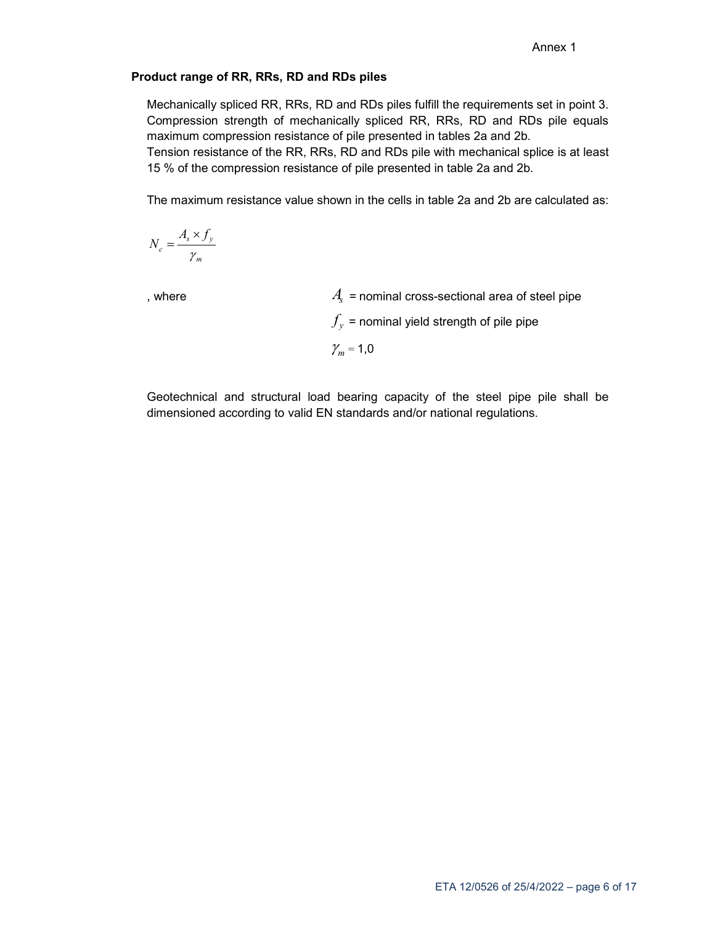# **Product range of RR, RRs, RD and RDs piles**

Mechanically spliced RR, RRs, RD and RDs piles fulfill the requirements set in point 3. Compression strength of mechanically spliced RR, RRs, RD and RDs pile equals maximum compression resistance of pile presented in tables 2a and 2b.

Tension resistance of the RR, RRs, RD and RDs pile with mechanical splice is at least 15 % of the compression resistance of pile presented in table 2a and 2b.

The maximum resistance value shown in the cells in table 2a and 2b are calculated as:

$$
N_c = \frac{A_s \times f_y}{\gamma_m}
$$

, where

 $A_{\rm c}$  = nominal cross-sectional area of steel pipe

 $\mathcal{J}_y$  $f_v$  = nominal yield strength of pile pipe

 $\chi_m^{}$  $\gamma_m = 1,0$ 

Geotechnical and structural load bearing capacity of the steel pipe pile shall be dimensioned according to valid EN standards and/or national regulations.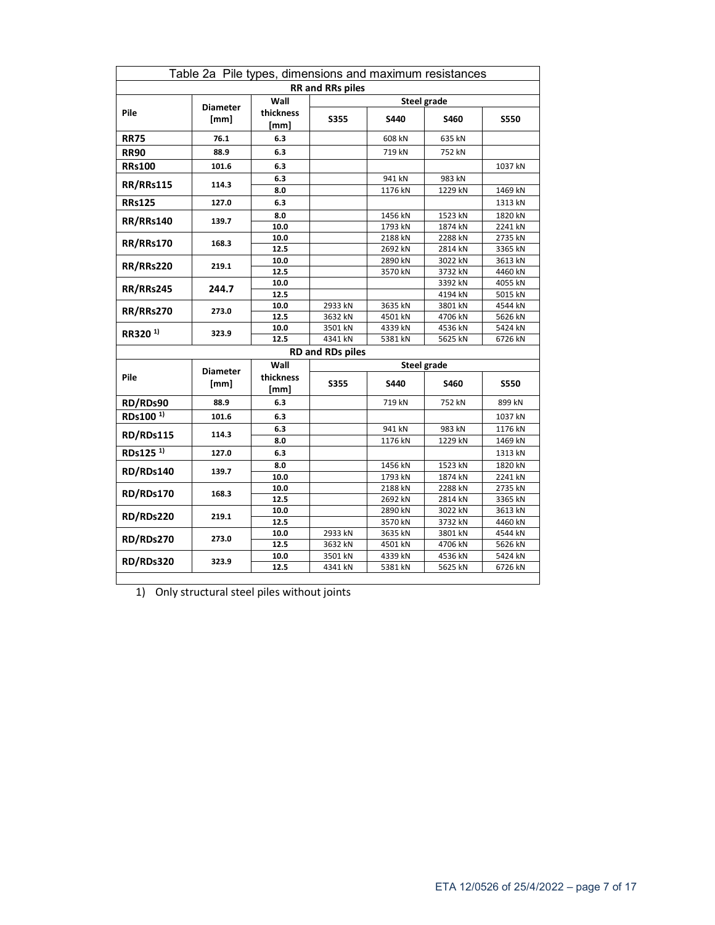| Table 2a Pile types, dimensions and maximum resistances |                 |                   |                         |                    |         |             |  |  |
|---------------------------------------------------------|-----------------|-------------------|-------------------------|--------------------|---------|-------------|--|--|
| <b>RR</b> and RRs piles                                 |                 |                   |                         |                    |         |             |  |  |
|                                                         | <b>Diameter</b> | Wall              |                         | <b>Steel grade</b> |         |             |  |  |
| Pile                                                    | [mm]            | thickness<br>[mm] | <b>S355</b>             | S440               | S460    | <b>S550</b> |  |  |
| <b>RR75</b>                                             | 76.1            | 6.3               |                         | 608 kN             | 635 kN  |             |  |  |
| <b>RR90</b>                                             | 88.9            | 6.3               |                         | 719 kN             | 752 kN  |             |  |  |
| <b>RRs100</b>                                           | 101.6           | 6.3               |                         |                    |         | 1037 kN     |  |  |
| <b>RR/RRs115</b>                                        | 114.3           | 6.3               |                         | 941 kN             | 983 kN  |             |  |  |
|                                                         |                 | 8.0               |                         | 1176 kN            | 1229 kN | 1469 kN     |  |  |
| <b>RRs125</b>                                           | 127.0           | 6.3               |                         |                    |         | 1313 kN     |  |  |
| <b>RR/RRs140</b>                                        | 139.7           | 8.0               |                         | 1456 kN            | 1523 kN | 1820 kN     |  |  |
|                                                         |                 | 10.0              |                         | 1793 kN            | 1874 kN | 2241 kN     |  |  |
| <b>RR/RRs170</b>                                        | 168.3           | 10.0              |                         | 2188 kN            | 2288 kN | 2735 kN     |  |  |
|                                                         |                 | 12.5              |                         | 2692 kN            | 2814 kN | 3365 kN     |  |  |
| <b>RR/RRs220</b>                                        | 219.1           | 10.0              |                         | 2890 kN            | 3022 kN | 3613 kN     |  |  |
|                                                         |                 | 12.5              |                         | 3570 kN            | 3732 kN | 4460 kN     |  |  |
| <b>RR/RRs245</b>                                        | 244.7           | 10.0              |                         |                    | 3392 kN | 4055 kN     |  |  |
|                                                         |                 | 12.5              |                         |                    | 4194 kN | 5015 kN     |  |  |
| <b>RR/RRs270</b>                                        | 273.0           | 10.0              | 2933 kN                 | 3635 kN            | 3801 kN | 4544 kN     |  |  |
|                                                         |                 | 12.5              | 3632 kN                 | 4501 kN            | 4706 kN | 5626 kN     |  |  |
| RR320 <sup>1)</sup>                                     | 323.9           | 10.0              | 3501 kN                 | 4339 kN            | 4536 kN | 5424 kN     |  |  |
|                                                         |                 | 12.5              | 4341 kN                 | 5381 kN            | 5625 kN | 6726 kN     |  |  |
|                                                         |                 |                   | <b>RD and RDs piles</b> |                    |         |             |  |  |
|                                                         | <b>Diameter</b> | Wall              |                         | <b>Steel grade</b> |         |             |  |  |
| Pile                                                    | [mm]            | thickness<br>[mm] | <b>S355</b>             | S440<br>S460       |         | <b>S550</b> |  |  |
| RD/RDs90                                                | 88.9            | 6.3               |                         | 719 kN             | 752 kN  | 899 kN      |  |  |
| RDs100 <sup>1)</sup>                                    | 101.6           | 6.3               |                         |                    |         | 1037 kN     |  |  |
|                                                         |                 | 6.3               |                         | 941 kN             | 983 kN  | 1176 kN     |  |  |
| RD/RDs115                                               | 114.3           | 8.0               |                         | 1176 kN            | 1229 kN | 1469 kN     |  |  |
| RDs125 <sup>1)</sup>                                    | 127.0           | 6.3               |                         |                    |         | 1313 kN     |  |  |
|                                                         | 139.7           | 8.0               |                         | 1456 kN            | 1523 kN | 1820 kN     |  |  |
| RD/RDs140                                               |                 | 10.0              |                         | 1793 kN            | 1874 kN | 2241 kN     |  |  |
| <b>RD/RDs170</b>                                        | 168.3           | 10.0              |                         | 2188 kN            | 2288 kN | 2735 kN     |  |  |
|                                                         |                 | 12.5              |                         | 2692 kN            | 2814 kN | 3365 kN     |  |  |
| <b>RD/RDs220</b>                                        | 219.1           | 10.0              |                         | 2890 kN            | 3022 kN | 3613 kN     |  |  |
|                                                         |                 | 12.5              |                         | 3570 kN            | 3732 kN | 4460 kN     |  |  |
| <b>RD/RDs270</b>                                        | 273.0           | 10.0              | 2933 kN                 | 3635 kN            | 3801 kN | 4544 kN     |  |  |
|                                                         |                 | 12.5              | 3632 kN                 | 4501 kN            | 4706 kN | 5626 kN     |  |  |
| <b>RD/RDs320</b>                                        | 323.9           | 10.0              | 3501 kN                 | 4339 kN            | 4536 kN | 5424 kN     |  |  |
|                                                         |                 | 12.5              | 4341 kN                 | 5381 kN            | 5625 kN | 6726 kN     |  |  |

1) Only structural steel piles without joints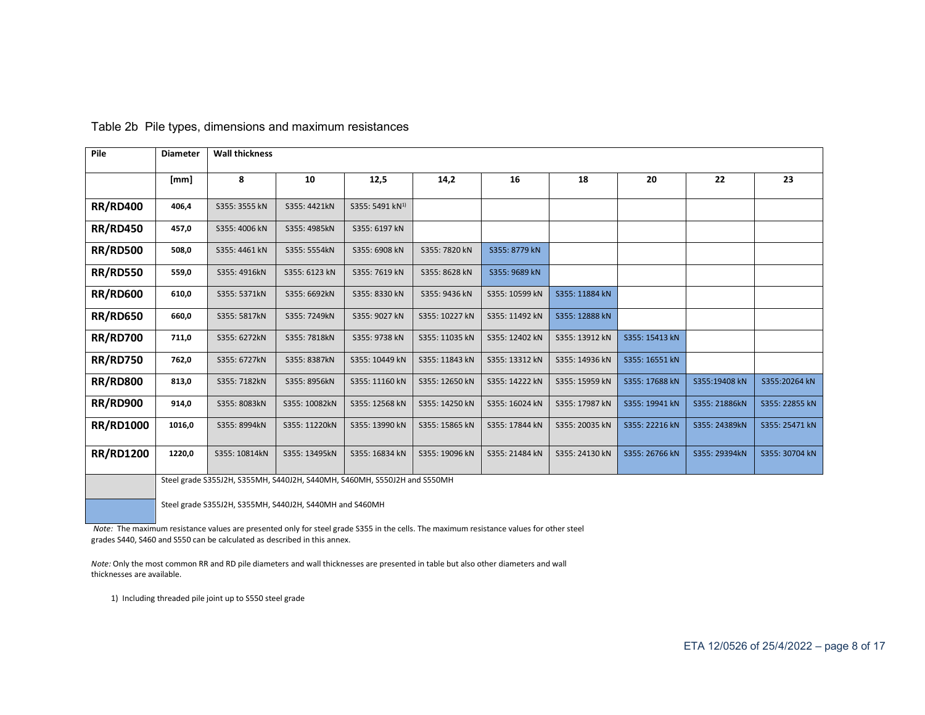| Pile             | <b>Diameter</b> | <b>Wall thickness</b>                                               |               |                             |                |                |                |                |               |                |
|------------------|-----------------|---------------------------------------------------------------------|---------------|-----------------------------|----------------|----------------|----------------|----------------|---------------|----------------|
|                  | [mm]            | 8                                                                   | 10            | 12,5                        | 14,2           | 16             | 18             | 20             | 22            | 23             |
| <b>RR/RD400</b>  | 406,4           | S355: 3555 kN                                                       | S355: 4421kN  | S355: 5491 kN <sup>1)</sup> |                |                |                |                |               |                |
| <b>RR/RD450</b>  | 457,0           | S355: 4006 kN                                                       | S355: 4985kN  | S355: 6197 kN               |                |                |                |                |               |                |
| <b>RR/RD500</b>  | 508,0           | S355: 4461 kN                                                       | S355: 5554kN  | S355: 6908 kN               | S355: 7820 kN  | S355: 8779 kN  |                |                |               |                |
| <b>RR/RD550</b>  | 559,0           | S355: 4916kN                                                        | S355: 6123 kN | S355: 7619 kN               | S355: 8628 kN  | S355: 9689 kN  |                |                |               |                |
| <b>RR/RD600</b>  | 610,0           | S355: 5371kN                                                        | S355: 6692kN  | S355: 8330 kN               | S355: 9436 kN  | S355: 10599 kN | S355: 11884 kN |                |               |                |
| <b>RR/RD650</b>  | 660,0           | S355: 5817kN                                                        | S355: 7249kN  | S355: 9027 kN               | S355: 10227 kN | S355: 11492 kN | S355: 12888 kN |                |               |                |
| <b>RR/RD700</b>  | 711,0           | S355: 6272kN                                                        | S355: 7818kN  | S355: 9738 kN               | S355: 11035 kN | S355: 12402 kN | S355: 13912 kN | S355: 15413 kN |               |                |
| <b>RR/RD750</b>  | 762,0           | S355: 6727kN                                                        | S355: 8387kN  | S355: 10449 kN              | S355: 11843 kN | S355: 13312 kN | S355: 14936 kN | S355: 16551 kN |               |                |
| <b>RR/RD800</b>  | 813,0           | S355: 7182kN                                                        | S355: 8956kN  | S355: 11160 kN              | S355: 12650 kN | S355: 14222 kN | S355: 15959 kN | S355: 17688 kN | S355:19408 kN | S355:20264 kN  |
| <b>RR/RD900</b>  | 914,0           | S355: 8083kN                                                        | S355: 10082kN | S355: 12568 kN              | S355: 14250 kN | S355: 16024 kN | S355: 17987 kN | S355: 19941 kN | S355: 21886kN | S355: 22855 kN |
| <b>RR/RD1000</b> | 1016,0          | S355: 8994kN                                                        | S355: 11220kN | S355: 13990 kN              | S355: 15865 kN | S355: 17844 kN | S355: 20035 kN | S355: 22216 kN | S355: 24389kN | S355: 25471 kN |
| <b>RR/RD1200</b> | 1220,0          | S355: 10814kN                                                       | S355: 13495kN | S355: 16834 kN              | S355: 19096 kN | S355: 21484 kN | S355: 24130 kN | S355: 26766 kN | S355: 29394kN | S355: 30704 kN |
|                  |                 | Steel grade S35512H S355MH S44012H S440MH S460MH S55012H and S550MH |               |                             |                |                |                |                |               |                |

Table 2b Pile types, dimensions and maximum resistances

Steel grade S355J2H, S355MH, S440J2H, S440MH, S460MH, S550J2H and S550MH

Steel grade S355J2H, S355MH, S440J2H, S440MH and S460MH

*Note:* The maximum resistance values are presented only for steel grade S355 in the cells. The maximum resistance values for other steel grades S440, S460 and S550 can be calculated as described in this annex.

*Note:* Only the most common RR and RD pile diameters and wall thicknesses are presented in table but also other diameters and wall thicknesses are available.

1) Including threaded pile joint up to S550 steel grade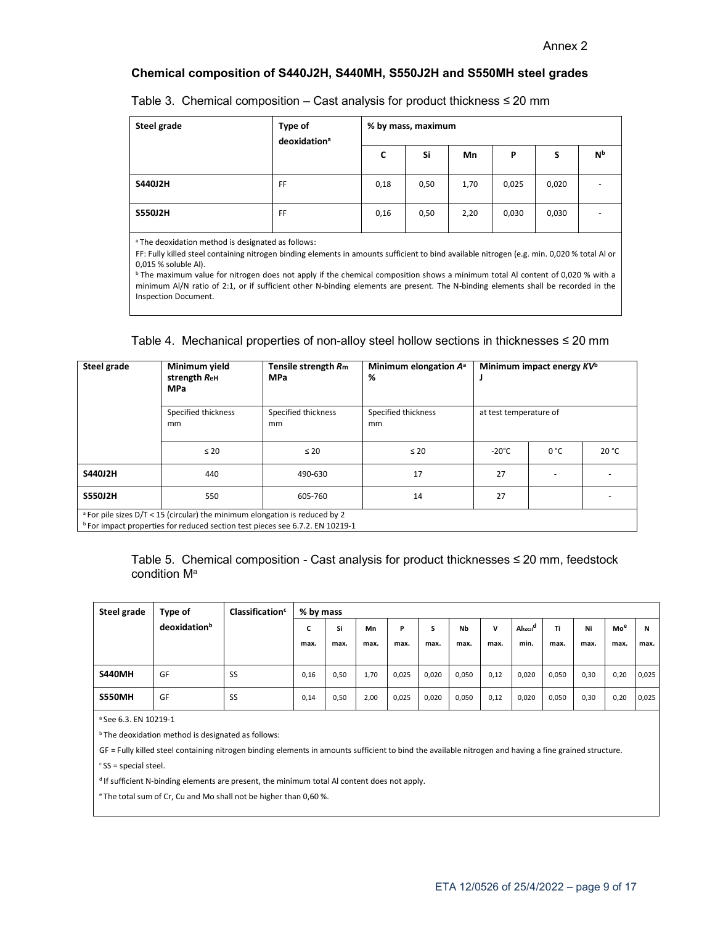# **Chemical composition of S440J2H, S440MH, S550J2H and S550MH steel grades**

| Steel grade | Type of<br>deoxidation <sup>a</sup> | % by mass, maximum |      |      |       |       |                          |
|-------------|-------------------------------------|--------------------|------|------|-------|-------|--------------------------|
|             |                                     | c                  | Si   | Mn   | P     | s     | <b>N</b> <sub>b</sub>    |
| S440J2H     | FF                                  | 0,18               | 0,50 | 1,70 | 0,025 | 0,020 | $\overline{\phantom{a}}$ |
| S550J2H     | FF                                  | 0,16               | 0,50 | 2,20 | 0,030 | 0,030 | $\overline{\phantom{a}}$ |

Table 3. Chemical composition – Cast analysis for product thickness  $\leq 20$  mm

<sup>a</sup> The deoxidation method is designated as follows:

FF: Fully killed steel containing nitrogen binding elements in amounts sufficient to bind available nitrogen (e.g. min. 0,020 % total Al or 0,015 % soluble Al).

**b** The maximum value for nitrogen does not apply if the chemical composition shows a minimum total Al content of 0,020 % with a minimum Al/N ratio of 2:1, or if sufficient other N-binding elements are present. The N-binding elements shall be recorded in the Inspection Document.

# Table 4. Mechanical properties of non-alloy steel hollow sections in thicknesses ≤ 20 mm

| Steel grade | Minimum yield<br>strength ReH<br><b>MPa</b>                                            | Tensile strength Rm<br><b>MPa</b> | Minimum elongation A <sup>a</sup><br>% | Minimum impact energy $KV^b$<br>at test temperature of |      |       |
|-------------|----------------------------------------------------------------------------------------|-----------------------------------|----------------------------------------|--------------------------------------------------------|------|-------|
|             | Specified thickness<br>mm                                                              | Specified thickness<br>mm         | Specified thickness<br>mm              |                                                        |      |       |
|             | $\leq 20$                                                                              | $\leq 20$                         | $\leq 20$                              | $-20^{\circ}$ C                                        | 0 °C | 20 °C |
| S440J2H     | 440                                                                                    | 490-630                           | 17                                     | 27                                                     |      |       |
| S550J2H     | 550                                                                                    | 605-760                           | 14                                     | 27                                                     |      |       |
|             | <sup>a</sup> For pile sizes D/T < 15 (circular) the minimum elongation is reduced by 2 |                                   |                                        |                                                        |      |       |

<sup>b</sup> For impact properties for reduced section test pieces see 6.7.2. EN 10219-1

Table 5. Chemical composition - Cast analysis for product thicknesses  $\leq$  20 mm, feedstock condition M<sup>a</sup>

| Steel grade   | Type of      | Classification <sup>c</sup> | % by mass |      |      |       |       |       |      |                      |       |      |      |       |
|---------------|--------------|-----------------------------|-----------|------|------|-------|-------|-------|------|----------------------|-------|------|------|-------|
|               | deoxidationb |                             | c         | Si   | Mn   | P     |       | Nb    | v    | Altotal <sup>d</sup> | Τi    | Ni   | Moe  | N     |
|               |              |                             | max.      | max. | max. | max.  | max.  | max.  | max. | min.                 | max.  | max. | max. | max.  |
|               |              |                             |           |      |      |       |       |       |      |                      |       |      |      |       |
| <b>S440MH</b> | GF           | <b>SS</b>                   | 0,16      | 0,50 | 1,70 | 0,025 | 0,020 | 0,050 | 0,12 | 0,020                | 0,050 | 0,30 | 0,20 | 0,025 |
| <b>S550MH</b> | GF           | SS                          | 0,14      | 0,50 | 2,00 | 0,025 | 0,020 | 0,050 | 0,12 | 0,020                | 0,050 | 0,30 | 0,20 | 0,025 |

<sup>a</sup> See 6.3. EN 10219-1

**b** The deoxidation method is designated as follows:

GF = Fully killed steel containing nitrogen binding elements in amounts sufficient to bind the available nitrogen and having a fine grained structure.

 $c$  SS = special steel.

<sup>d</sup> If sufficient N-binding elements are present, the minimum total AI content does not apply.

<sup>e</sup> The total sum of Cr, Cu and Mo shall not be higher than 0,60 %.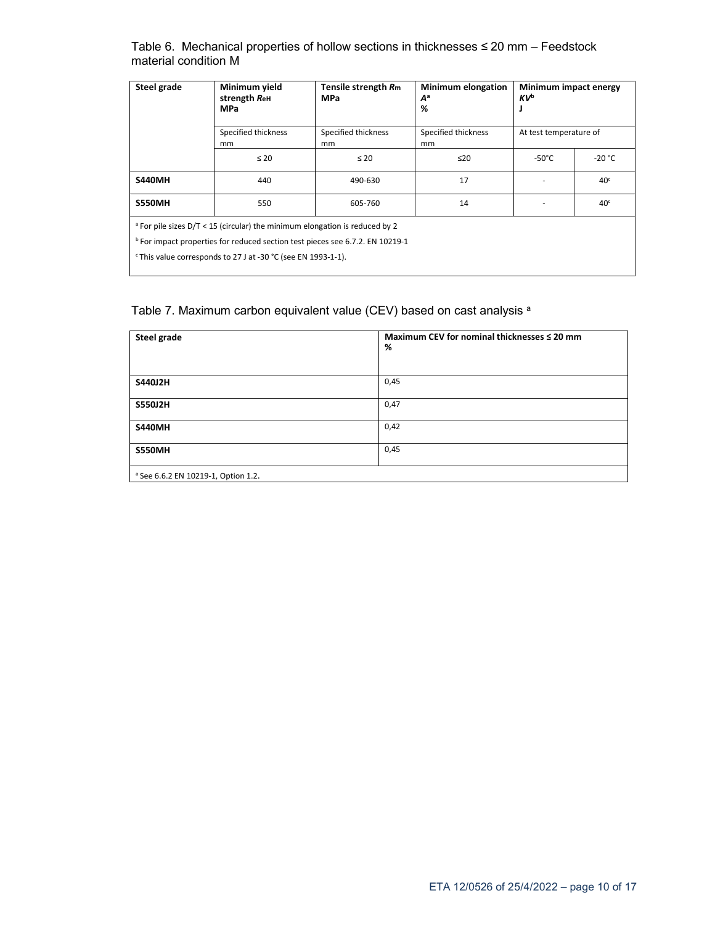Table 6. Mechanical properties of hollow sections in thicknesses ≤ 20 mm – Feedstock material condition M

| Steel grade                                                                              | Minimum yield<br>strength ReH<br><b>MPa</b>                                            | Tensile strength Rm<br><b>MPa</b> | <b>Minimum elongation</b><br>$A^a$<br>% | Minimum impact energy<br><b>KVb</b> |                 |  |  |  |  |
|------------------------------------------------------------------------------------------|----------------------------------------------------------------------------------------|-----------------------------------|-----------------------------------------|-------------------------------------|-----------------|--|--|--|--|
|                                                                                          | Specified thickness<br>mm                                                              | Specified thickness<br>mm         | Specified thickness<br>mm               | At test temperature of              |                 |  |  |  |  |
|                                                                                          | $\leq 20$                                                                              | $\leq 20$                         | ≤20                                     | $-50^{\circ}$ C                     | $-20 °C$        |  |  |  |  |
| <b>S440MH</b>                                                                            | 440                                                                                    | 490-630                           | 17                                      |                                     | 40 <sup>c</sup> |  |  |  |  |
| <b>S550MH</b>                                                                            | 550                                                                                    | 605-760                           | 14                                      | 40 <sup>c</sup>                     |                 |  |  |  |  |
|                                                                                          | <sup>a</sup> For pile sizes D/T < 15 (circular) the minimum elongation is reduced by 2 |                                   |                                         |                                     |                 |  |  |  |  |
| <sup>b</sup> For impact properties for reduced section test pieces see 6.7.2. EN 10219-1 |                                                                                        |                                   |                                         |                                     |                 |  |  |  |  |
|                                                                                          | <sup>c</sup> This value corresponds to 27 J at -30 °C (see EN 1993-1-1).               |                                   |                                         |                                     |                 |  |  |  |  |

# Table 7. Maximum carbon equivalent value (CEV) based on cast analysis a

| Steel grade                                    | Maximum CEV for nominal thicknesses ≤ 20 mm<br>% |
|------------------------------------------------|--------------------------------------------------|
| S440J2H                                        | 0,45                                             |
| S550J2H                                        | 0,47                                             |
| <b>S440MH</b>                                  | 0,42                                             |
| <b>S550MH</b>                                  | 0,45                                             |
| <sup>a</sup> See 6.6.2 EN 10219-1, Option 1.2. |                                                  |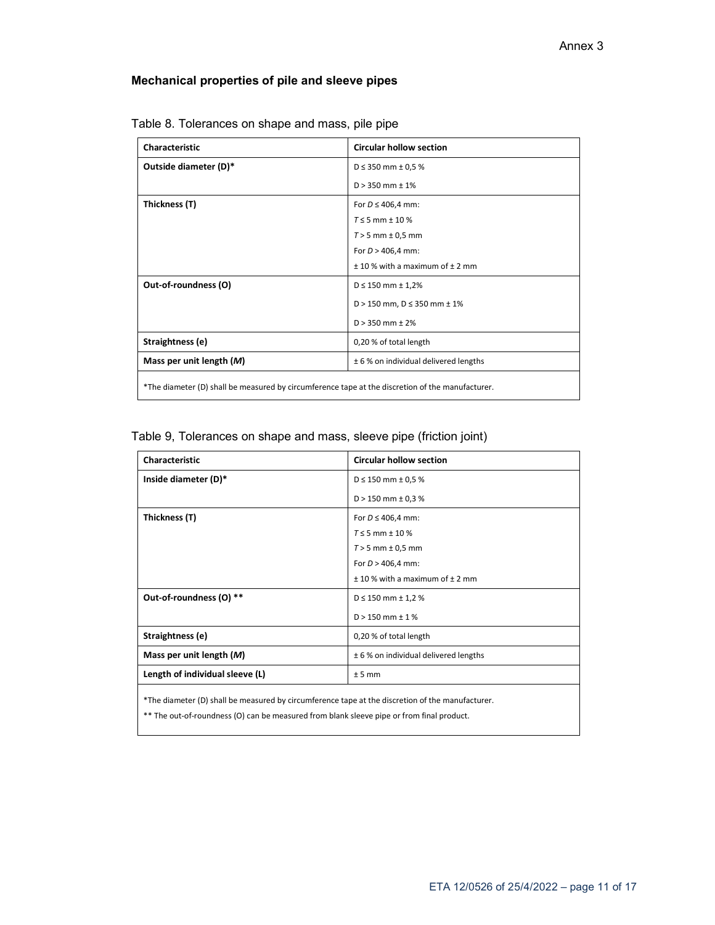# **Mechanical properties of pile and sleeve pipes**

| <b>Characteristic</b>                                                                            | <b>Circular hollow section</b>         |  |  |  |
|--------------------------------------------------------------------------------------------------|----------------------------------------|--|--|--|
| Outside diameter (D)*                                                                            | $D \le 350$ mm $\pm 0.5$ %             |  |  |  |
|                                                                                                  | $D > 350$ mm $\pm 1\%$                 |  |  |  |
| Thickness (T)                                                                                    | For $D \leq 406,4$ mm:                 |  |  |  |
|                                                                                                  | $T \le 5$ mm $\pm$ 10 %                |  |  |  |
|                                                                                                  | $T > 5$ mm $\pm$ 0,5 mm                |  |  |  |
|                                                                                                  | For $D > 406,4$ mm:                    |  |  |  |
|                                                                                                  | $± 10$ % with a maximum of $± 2$ mm    |  |  |  |
| Out-of-roundness (O)                                                                             | $D \le 150$ mm $\pm 1,2\%$             |  |  |  |
|                                                                                                  | $D > 150$ mm, $D \le 350$ mm $\pm 1\%$ |  |  |  |
|                                                                                                  | $D > 350$ mm $\pm 2\%$                 |  |  |  |
| Straightness (e)                                                                                 | 0,20 % of total length                 |  |  |  |
| Mass per unit length $(M)$                                                                       | ± 6 % on individual delivered lengths  |  |  |  |
| *The diameter (D) shall be measured by circumference tape at the discretion of the manufacturer. |                                        |  |  |  |

Table 8. Tolerances on shape and mass, pile pipe

# Table 9, Tolerances on shape and mass, sleeve pipe (friction joint)

| <b>Characteristic</b>                                                                            | <b>Circular hollow section</b>        |  |  |  |  |
|--------------------------------------------------------------------------------------------------|---------------------------------------|--|--|--|--|
| Inside diameter (D)*                                                                             | $D \le 150$ mm $\pm$ 0.5 %            |  |  |  |  |
|                                                                                                  | $D > 150$ mm $\pm$ 0,3 %              |  |  |  |  |
| Thickness (T)                                                                                    | For $D \leq 406.4$ mm:                |  |  |  |  |
|                                                                                                  | $T \le 5$ mm $\pm$ 10 %               |  |  |  |  |
|                                                                                                  | $T > 5$ mm $\pm$ 0,5 mm               |  |  |  |  |
|                                                                                                  | For $D > 406,4$ mm:                   |  |  |  |  |
|                                                                                                  | $± 10$ % with a maximum of $± 2$ mm   |  |  |  |  |
| Out-of-roundness (O) **                                                                          | $D \le 150$ mm $\pm$ 1,2 %            |  |  |  |  |
|                                                                                                  | $D > 150$ mm $\pm$ 1 %                |  |  |  |  |
| Straightness (e)                                                                                 | 0,20 % of total length                |  |  |  |  |
| Mass per unit length $(M)$                                                                       | ± 6 % on individual delivered lengths |  |  |  |  |
| Length of individual sleeve (L)                                                                  | $± 5$ mm                              |  |  |  |  |
| *The diameter (D) shall be measured by circumference tape at the discretion of the manufacturer. |                                       |  |  |  |  |

\*\* The out-of-roundness (O) can be measured from blank sleeve pipe or from final product.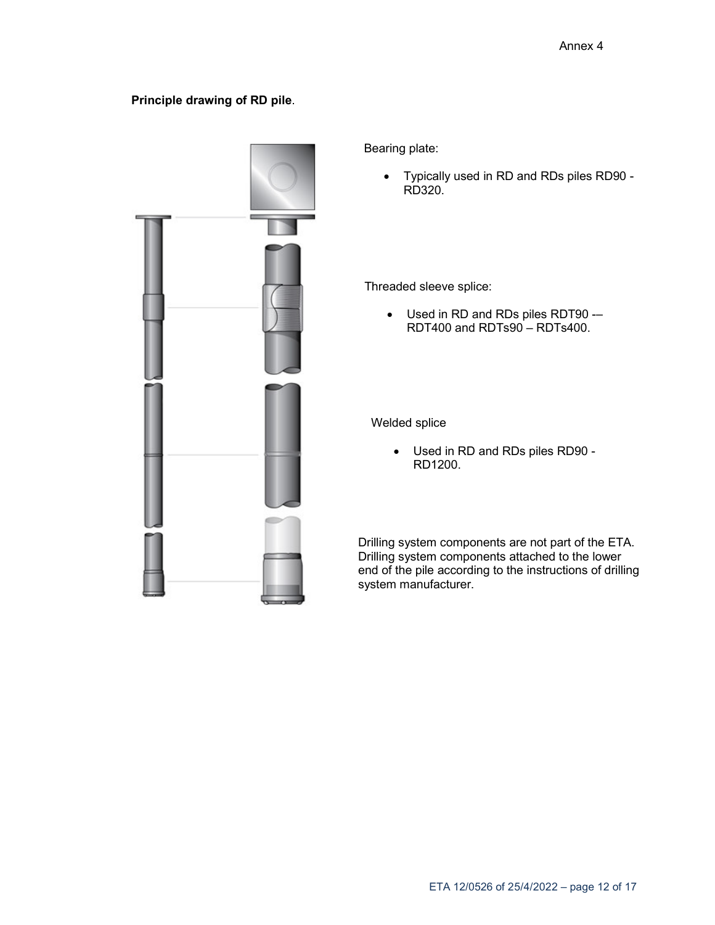# **Principle drawing of RD pile**.



Bearing plate:

 Typically used in RD and RDs piles RD90 - RD320.

Threaded sleeve splice:

 Used in RD and RDs piles RDT90 -– RDT400 and RDTs90 – RDTs400.

Welded splice

 Used in RD and RDs piles RD90 - RD1200.

Drilling system components are not part of the ETA. Drilling system components attached to the lower end of the pile according to the instructions of drilling system manufacturer.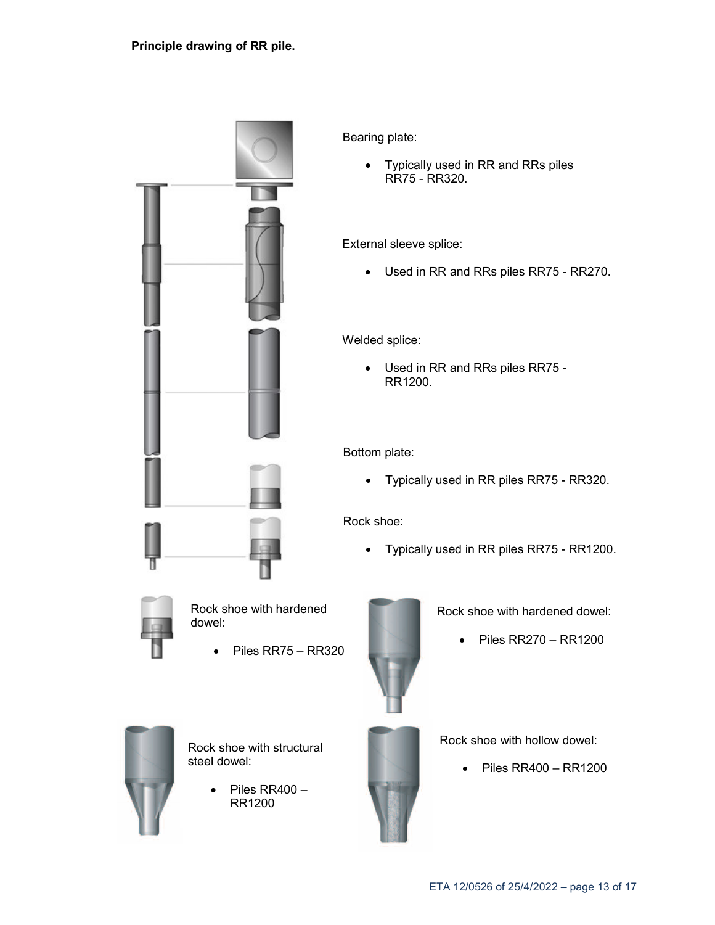

Bearing plate:

 Typically used in RR and RRs piles RR75 - RR320.

External sleeve splice:

Used in RR and RRs piles RR75 - RR270.

Welded splice:

 Used in RR and RRs piles RR75 - RR1200.

Bottom plate:

Typically used in RR piles RR75 - RR320.

Rock shoe:

Typically used in RR piles RR75 - RR1200.



Rock shoe with hardened dowel:

Piles RR75 – RR320



Rock shoe with hardened dowel:

 $\bullet$  Piles RR270 – RR1200



Rock shoe with structural steel dowel:

> Piles RR400 – RR1200



Rock shoe with hollow dowel:

Piles RR400 – RR1200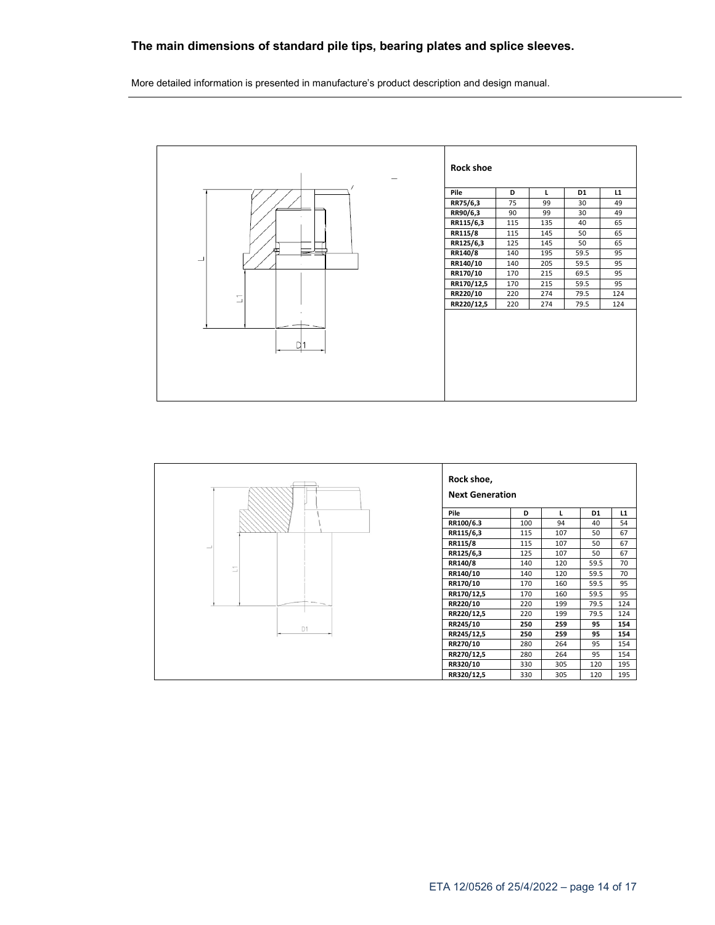# **The main dimensions of standard pile tips, bearing plates and splice sleeves.**

More detailed information is presented in manufacture's product description and design manual.



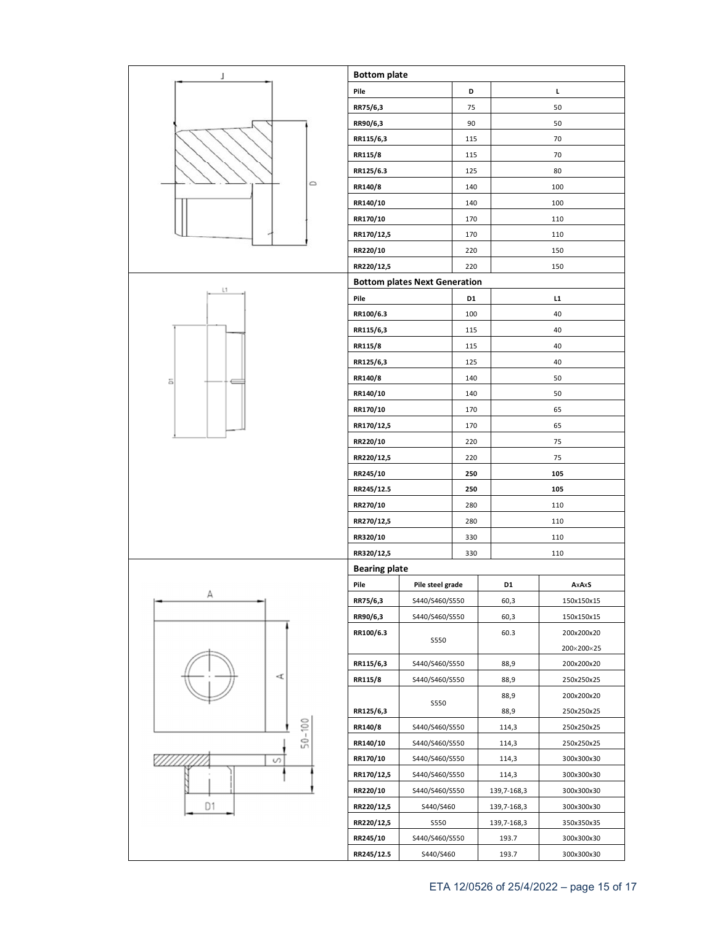| J              | <b>Bottom plate</b>  |                                      |     |                |            |  |
|----------------|----------------------|--------------------------------------|-----|----------------|------------|--|
|                | Pile                 |                                      | D   |                | г          |  |
|                | RR75/6,3             |                                      | 75  |                | 50         |  |
|                | RR90/6,3             |                                      | 90  |                | 50         |  |
|                | RR115/6,3            |                                      | 115 |                | 70         |  |
|                | RR115/8              |                                      | 115 |                | 70         |  |
|                | RR125/6.3            |                                      | 125 |                | 80         |  |
| $\circ$        | RR140/8              |                                      | 140 |                | 100        |  |
|                | RR140/10             |                                      | 140 |                | 100        |  |
|                | RR170/10             |                                      | 170 |                | 110        |  |
|                | RR170/12,5           |                                      | 170 |                | 110        |  |
|                | RR220/10             |                                      | 220 |                | 150        |  |
|                | RR220/12,5           |                                      | 220 |                | 150        |  |
|                |                      | <b>Bottom plates Next Generation</b> |     |                |            |  |
| L1             | Pile                 |                                      | D1  |                | L1         |  |
|                | RR100/6.3            |                                      | 100 |                | 40         |  |
|                | RR115/6,3            |                                      | 115 |                | 40         |  |
|                | RR115/8              |                                      | 115 |                | 40         |  |
|                | RR125/6,3            |                                      | 125 |                | 40         |  |
| ä              | RR140/8              |                                      | 140 |                | 50         |  |
|                | RR140/10             |                                      | 140 |                | 50         |  |
|                | RR170/10             |                                      | 170 |                | 65         |  |
|                | RR170/12,5           |                                      | 170 |                | 65         |  |
|                | RR220/10             |                                      | 220 |                | 75         |  |
|                | RR220/12,5           |                                      | 220 |                | 75         |  |
|                | RR245/10             |                                      | 250 |                | 105        |  |
|                | RR245/12.5           |                                      | 250 |                | 105        |  |
|                | RR270/10             |                                      | 280 |                | 110        |  |
|                | RR270/12,5           |                                      | 280 |                | 110        |  |
|                | RR320/10             |                                      | 330 |                | 110        |  |
|                | RR320/12,5           |                                      | 330 |                | 110        |  |
|                | <b>Bearing plate</b> |                                      |     |                |            |  |
|                | Pile                 | Pile steel grade                     |     | D <sub>1</sub> | AxAxS      |  |
| А              | RR75/6,3             | S440/S460/S550                       |     | 60,3           | 150x150x15 |  |
|                | RR90/6,3             | S440/S460/S550                       |     | 60,3           | 150x150x15 |  |
|                | RR100/6.3            |                                      |     | 60.3           | 200x200x20 |  |
|                |                      | <b>S550</b>                          |     |                | 200×200×25 |  |
|                | RR115/6,3            | S440/S460/S550                       |     | 88,9           | 200x200x20 |  |
| 4              | RR115/8              | S440/S460/S550                       |     | 88,9           | 250x250x25 |  |
|                |                      | <b>S550</b>                          |     | 88,9           | 200x200x20 |  |
|                | RR125/6,3            |                                      |     | 88,9           | 250x250x25 |  |
| $50 - 100$     | RR140/8              | S440/S460/S550                       |     | 114,3          | 250x250x25 |  |
|                | RR140/10             | S440/S460/S550                       |     | 114,3          | 250x250x25 |  |
| S              | RR170/10             | S440/S460/S550                       |     | 114,3          | 300x300x30 |  |
|                | RR170/12,5           | S440/S460/S550                       |     | 114,3          | 300x300x30 |  |
|                | RR220/10             | S440/S460/S550                       |     | 139,7-168,3    | 300x300x30 |  |
| D <sub>1</sub> | RR220/12,5           | S440/S460                            |     | 139,7-168,3    | 300x300x30 |  |
|                | RR220/12,5           | <b>S550</b>                          |     | 139,7-168,3    | 350x350x35 |  |
|                | RR245/10             | S440/S460/S550                       |     | 193.7          | 300x300x30 |  |
|                | RR245/12.5           | S440/S460                            |     | 193.7          | 300x300x30 |  |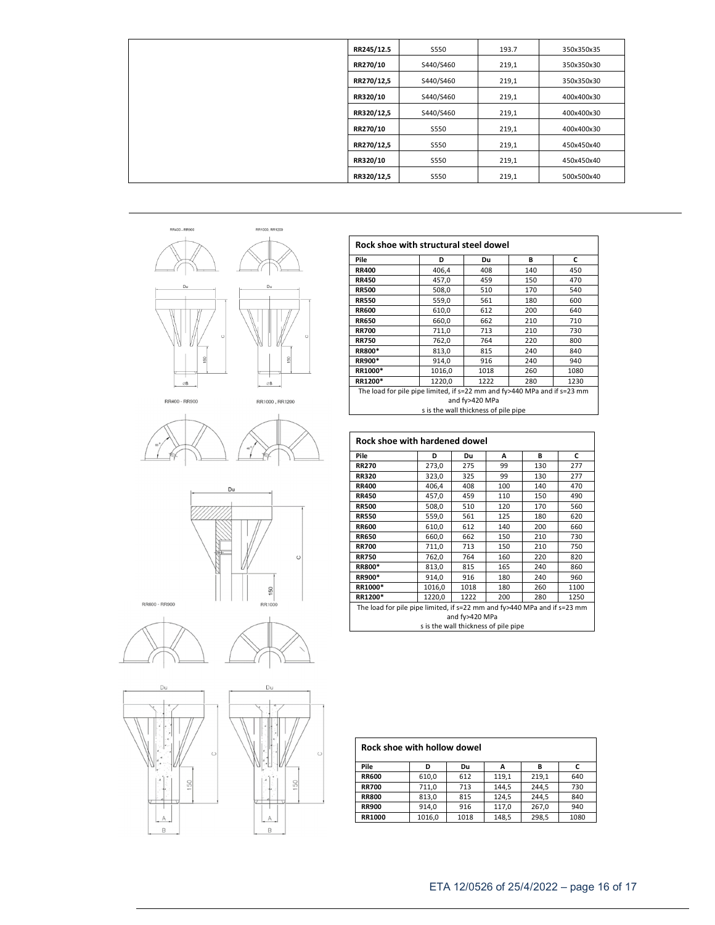| RR245/12.5 | S550        | 193.7 | 350x350x35 |
|------------|-------------|-------|------------|
| RR270/10   | S440/S460   | 219,1 | 350x350x30 |
| RR270/12,5 | S440/S460   | 219,1 | 350x350x30 |
| RR320/10   | S440/S460   | 219,1 | 400x400x30 |
| RR320/12,5 | S440/S460   | 219,1 | 400x400x30 |
| RR270/10   | S550        | 219,1 | 400x400x30 |
| RR270/12,5 | S550        | 219,1 | 450x450x40 |
| RR320/10   | <b>S550</b> | 219,1 | 450x450x40 |
| RR320/12,5 | S550        | 219,1 | 500x500x40 |



| RR400 - RR900 |  |
|---------------|--|
|               |  |

RR1000, RR1200











| Pile                                                                     | D      | Du   | в   | c    |  |
|--------------------------------------------------------------------------|--------|------|-----|------|--|
| <b>RR400</b>                                                             | 406,4  | 408  | 140 | 450  |  |
| <b>RR450</b>                                                             | 457,0  | 459  | 150 | 470  |  |
| <b>RR500</b>                                                             | 508,0  | 510  | 170 | 540  |  |
| <b>RR550</b>                                                             | 559,0  | 561  | 180 | 600  |  |
| <b>RR600</b>                                                             | 610,0  | 612  | 200 | 640  |  |
| <b>RR650</b>                                                             | 660,0  | 662  | 210 | 710  |  |
| <b>RR700</b>                                                             | 711,0  | 713  | 210 | 730  |  |
| <b>RR750</b>                                                             | 762,0  | 764  | 220 | 800  |  |
| <b>RR800*</b>                                                            | 813,0  | 815  | 240 | 840  |  |
| <b>RR900*</b>                                                            | 914,0  | 916  | 240 | 940  |  |
| RR1000*                                                                  | 1016,0 | 1018 | 260 | 1080 |  |
| RR1200*                                                                  | 1220,0 | 1222 | 280 | 1230 |  |
| The load for pile pipe limited, if s=22 mm and fy>440 MPa and if s=23 mm |        |      |     |      |  |
| and fy>420 MPa                                                           |        |      |     |      |  |
| s is the wall thickness of pile pipe                                     |        |      |     |      |  |

ヿ

| Pile                                                                                                                               | D      |      |     |     |      |
|------------------------------------------------------------------------------------------------------------------------------------|--------|------|-----|-----|------|
|                                                                                                                                    |        | Du   | A   | В   | C    |
| <b>RR270</b>                                                                                                                       | 273,0  | 275  | 99  | 130 | 277  |
| <b>RR320</b>                                                                                                                       | 323,0  | 325  | 99  | 130 | 277  |
| <b>RR400</b>                                                                                                                       | 406,4  | 408  | 100 | 140 | 470  |
| <b>RR450</b>                                                                                                                       | 457,0  | 459  | 110 | 150 | 490  |
| <b>RR500</b>                                                                                                                       | 508,0  | 510  | 120 | 170 | 560  |
| <b>RR550</b>                                                                                                                       | 559,0  | 561  | 125 | 180 | 620  |
| <b>RR600</b>                                                                                                                       | 610,0  | 612  | 140 | 200 | 660  |
| <b>RR650</b>                                                                                                                       | 660,0  | 662  | 150 | 210 | 730  |
| <b>RR700</b>                                                                                                                       | 711,0  | 713  | 150 | 210 | 750  |
| <b>RR750</b>                                                                                                                       | 762,0  | 764  | 160 | 220 | 820  |
| RR800*                                                                                                                             | 813,0  | 815  | 165 | 240 | 860  |
| RR900*                                                                                                                             | 914,0  | 916  | 180 | 240 | 960  |
| RR1000*                                                                                                                            | 1016,0 | 1018 | 180 | 260 | 1100 |
| RR1200*                                                                                                                            | 1220,0 | 1222 | 200 | 280 | 1250 |
| The load for pile pipe limited, if s=22 mm and fy>440 MPa and if s=23 mm<br>and fy>420 MPa<br>s is the wall thickness of pile pipe |        |      |     |     |      |

s is the wall thickness of pile pipe

| Rock shoe with hollow dowel |        |      |       |       |      |
|-----------------------------|--------|------|-------|-------|------|
| Pile                        | D      | Du   | А     | в     |      |
| <b>RR600</b>                | 610,0  | 612  | 119,1 | 219,1 | 640  |
| <b>RR700</b>                | 711,0  | 713  | 144.5 | 244.5 | 730  |
| <b>RR800</b>                | 813.0  | 815  | 124.5 | 244.5 | 840  |
| <b>RR900</b>                | 914,0  | 916  | 117,0 | 267,0 | 940  |
| RR1000                      | 1016.0 | 1018 | 148.5 | 298.5 | 1080 |